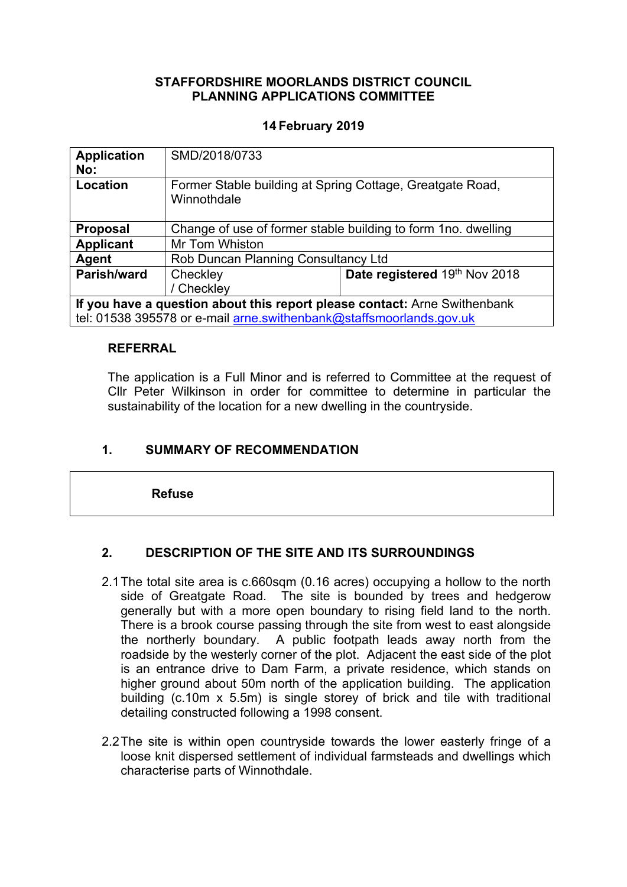## **STAFFORDSHIRE MOORLANDS DISTRICT COUNCIL PLANNING APPLICATIONS COMMITTEE**

## **14 February 2019**

| <b>Application</b><br>No:                                                 | SMD/2018/0733                                                            |                               |
|---------------------------------------------------------------------------|--------------------------------------------------------------------------|-------------------------------|
| Location                                                                  | Former Stable building at Spring Cottage, Greatgate Road,<br>Winnothdale |                               |
| <b>Proposal</b>                                                           | Change of use of former stable building to form 1no. dwelling            |                               |
| <b>Applicant</b>                                                          | Mr Tom Whiston                                                           |                               |
| Agent                                                                     | Rob Duncan Planning Consultancy Ltd                                      |                               |
| Parish/ward                                                               | Checkley                                                                 | Date registered 19th Nov 2018 |
|                                                                           | / Checkley                                                               |                               |
| If you have a question about this report please contact: Arne Swithenbank |                                                                          |                               |

tel: 01538 395578 or e-mail [arne.swithenbank@staffsmoorlands.gov.uk](mailto:arne.swithenbank@staffsmoorlands.gov.uk)

#### **REFERRAL**

The application is a Full Minor and is referred to Committee at the request of Cllr Peter Wilkinson in order for committee to determine in particular the sustainability of the location for a new dwelling in the countryside.

## **1. SUMMARY OF RECOMMENDATION**

**Refuse**

## **2. DESCRIPTION OF THE SITE AND ITS SURROUNDINGS**

- 2.1The total site area is c.660sqm (0.16 acres) occupying a hollow to the north side of Greatgate Road. The site is bounded by trees and hedgerow generally but with a more open boundary to rising field land to the north. There is a brook course passing through the site from west to east alongside the northerly boundary. A public footpath leads away north from the roadside by the westerly corner of the plot. Adjacent the east side of the plot is an entrance drive to Dam Farm, a private residence, which stands on higher ground about 50m north of the application building. The application building (c.10m x 5.5m) is single storey of brick and tile with traditional detailing constructed following a 1998 consent.
- 2.2The site is within open countryside towards the lower easterly fringe of a loose knit dispersed settlement of individual farmsteads and dwellings which characterise parts of Winnothdale.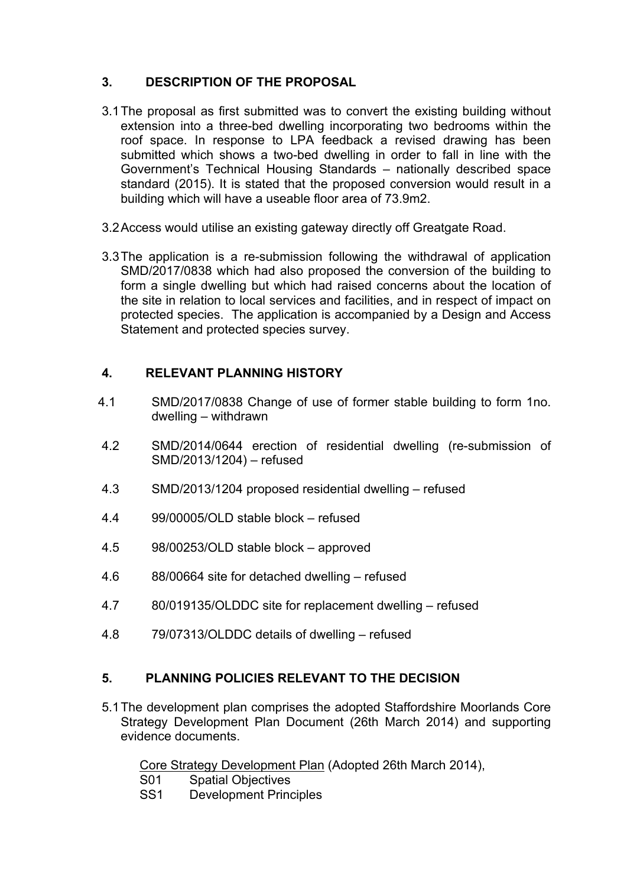## **3. DESCRIPTION OF THE PROPOSAL**

- 3.1The proposal as first submitted was to convert the existing building without extension into a three-bed dwelling incorporating two bedrooms within the roof space. In response to LPA feedback a revised drawing has been submitted which shows a two-bed dwelling in order to fall in line with the Government's Technical Housing Standards – nationally described space standard (2015). It is stated that the proposed conversion would result in a building which will have a useable floor area of 73.9m2.
- 3.2Access would utilise an existing gateway directly off Greatgate Road.
- 3.3The application is a re-submission following the withdrawal of application SMD/2017/0838 which had also proposed the conversion of the building to form a single dwelling but which had raised concerns about the location of the site in relation to local services and facilities, and in respect of impact on protected species. The application is accompanied by a Design and Access Statement and protected species survey.

## **4. RELEVANT PLANNING HISTORY**

- 4.1 SMD/2017/0838 Change of use of former stable building to form 1no. dwelling – withdrawn
- 4.2 SMD/2014/0644 erection of residential dwelling (re-submission of SMD/2013/1204) – refused
- 4.3 SMD/2013/1204 proposed residential dwelling refused
- 4.4 99/00005/OLD stable block refused
- 4.5 98/00253/OLD stable block approved
- 4.6 88/00664 site for detached dwelling refused
- 4.7 80/019135/OLDDC site for replacement dwelling refused
- 4.8 79/07313/OLDDC details of dwelling refused

## **5. PLANNING POLICIES RELEVANT TO THE DECISION**

5.1The development plan comprises the adopted Staffordshire Moorlands Core Strategy Development Plan Document (26th March 2014) and supporting evidence documents.

Core Strategy Development Plan (Adopted 26th March 2014),

- S01 Spatial Objectives
- SS1 Development Principles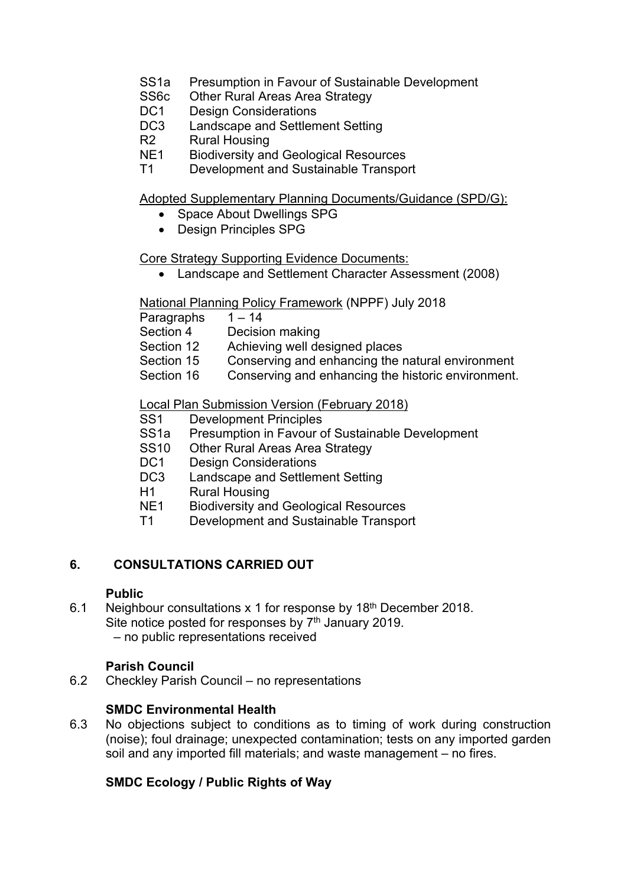- SS1a Presumption in Favour of Sustainable Development
- SS6c Other Rural Areas Area Strategy<br>DC1 Design Considerations
- Design Considerations
- DC3 Landscape and Settlement Setting
- R2 Rural Housing
- NE1 Biodiversity and Geological Resources
- T1 Development and Sustainable Transport

Adopted Supplementary Planning Documents/Guidance (SPD/G):

- Space About Dwellings SPG
- Design Principles SPG

Core Strategy Supporting Evidence Documents:

Landscape and Settlement Character Assessment (2008)

National Planning Policy Framework (NPPF) July 2018

Paragraphs 1-14

Section 4 Decision making

Section 12 Achieving well designed places

- Section 15 Conserving and enhancing the natural environment
- Section 16 Conserving and enhancing the historic environment.

Local Plan Submission Version (February 2018)

- SS1 Development Principles
- SS1a Presumption in Favour of Sustainable Development
- SS10 Other Rural Areas Area Strategy<br>DC1 Design Considerations
- Design Considerations
- DC3 Landscape and Settlement Setting
- H1 Rural Housing
- NE1 Biodiversity and Geological Resources
- T1 Development and Sustainable Transport

## **6. CONSULTATIONS CARRIED OUT**

## **Public**

6.1 Neighbour consultations x 1 for response by 18<sup>th</sup> December 2018. Site notice posted for responses by  $7<sup>th</sup>$  January 2019. – no public representations received

## **Parish Council**

6.2 Checkley Parish Council – no representations

## **SMDC Environmental Health**

6.3 No objections subject to conditions as to timing of work during construction (noise); foul drainage; unexpected contamination; tests on any imported garden soil and any imported fill materials; and waste management – no fires.

## **SMDC Ecology / Public Rights of Way**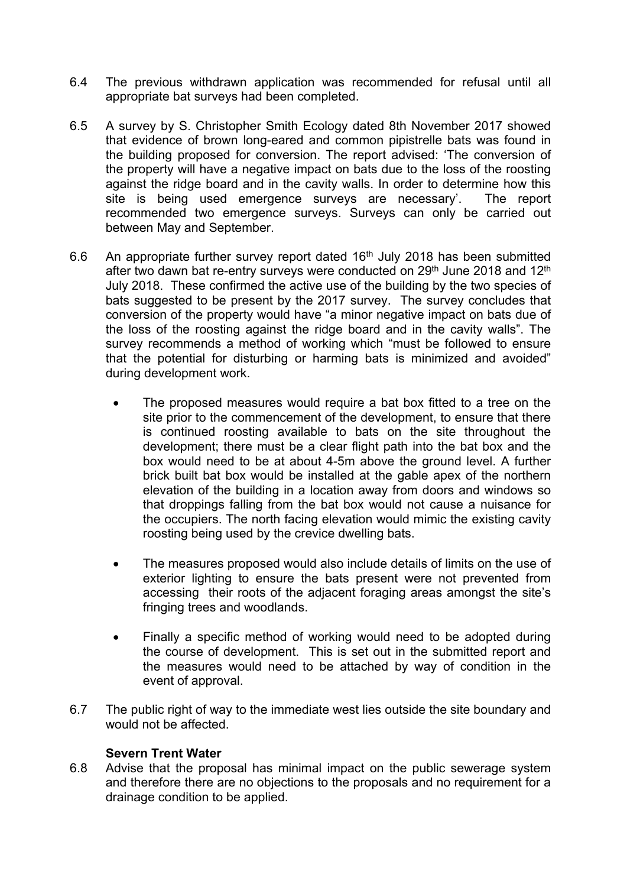- 6.4 The previous withdrawn application was recommended for refusal until all appropriate bat surveys had been completed.
- 6.5 A survey by S. Christopher Smith Ecology dated 8th November 2017 showed that evidence of brown long-eared and common pipistrelle bats was found in the building proposed for conversion. The report advised: 'The conversion of the property will have a negative impact on bats due to the loss of the roosting against the ridge board and in the cavity walls. In order to determine how this site is being used emergence surveys are necessary'. The report recommended two emergence surveys. Surveys can only be carried out between May and September.
- 6.6 An appropriate further survey report dated  $16<sup>th</sup>$  July 2018 has been submitted after two dawn bat re-entry surveys were conducted on 29<sup>th</sup> June 2018 and 12<sup>th</sup> July 2018. These confirmed the active use of the building by the two species of bats suggested to be present by the 2017 survey. The survey concludes that conversion of the property would have "a minor negative impact on bats due of the loss of the roosting against the ridge board and in the cavity walls". The survey recommends a method of working which "must be followed to ensure that the potential for disturbing or harming bats is minimized and avoided" during development work.
	- The proposed measures would require a bat box fitted to a tree on the site prior to the commencement of the development, to ensure that there is continued roosting available to bats on the site throughout the development; there must be a clear flight path into the bat box and the box would need to be at about 4-5m above the ground level. A further brick built bat box would be installed at the gable apex of the northern elevation of the building in a location away from doors and windows so that droppings falling from the bat box would not cause a nuisance for the occupiers. The north facing elevation would mimic the existing cavity roosting being used by the crevice dwelling bats.
	- The measures proposed would also include details of limits on the use of exterior lighting to ensure the bats present were not prevented from accessing their roots of the adjacent foraging areas amongst the site's fringing trees and woodlands.
	- Finally a specific method of working would need to be adopted during the course of development. This is set out in the submitted report and the measures would need to be attached by way of condition in the event of approval.
- 6.7 The public right of way to the immediate west lies outside the site boundary and would not be affected.

## **Severn Trent Water**

6.8 Advise that the proposal has minimal impact on the public sewerage system and therefore there are no objections to the proposals and no requirement for a drainage condition to be applied.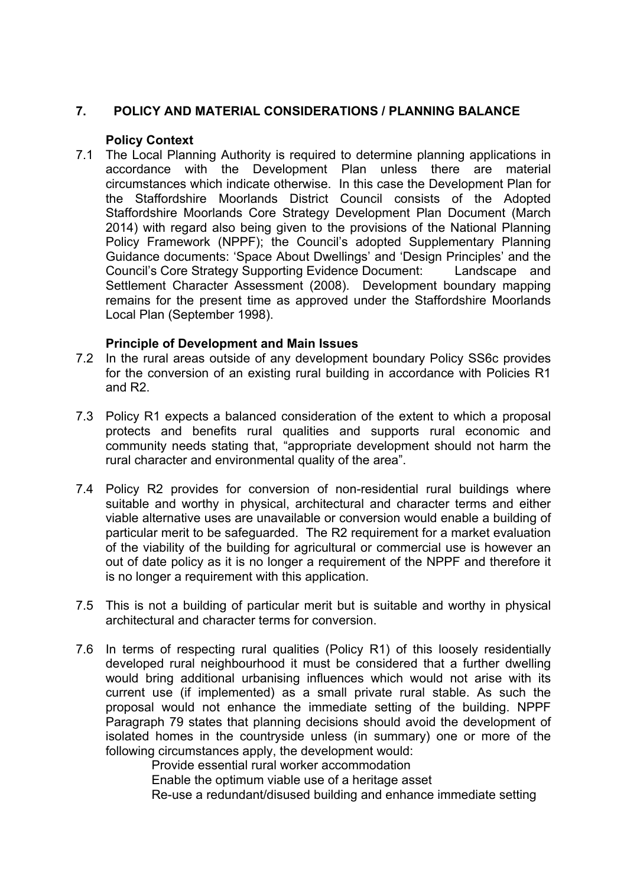## **7. POLICY AND MATERIAL CONSIDERATIONS / PLANNING BALANCE**

## **Policy Context**

7.1 The Local Planning Authority is required to determine planning applications in accordance with the Development Plan unless there are material circumstances which indicate otherwise. In this case the Development Plan for the Staffordshire Moorlands District Council consists of the Adopted Staffordshire Moorlands Core Strategy Development Plan Document (March 2014) with regard also being given to the provisions of the National Planning Policy Framework (NPPF); the Council's adopted Supplementary Planning Guidance documents: 'Space About Dwellings' and 'Design Principles' and the Council's Core Strategy Supporting Evidence Document: Landscape and Settlement Character Assessment (2008). Development boundary mapping remains for the present time as approved under the Staffordshire Moorlands Local Plan (September 1998).

## **Principle of Development and Main Issues**

- 7.2 In the rural areas outside of any development boundary Policy SS6c provides for the conversion of an existing rural building in accordance with Policies R1 and R2.
- 7.3 Policy R1 expects a balanced consideration of the extent to which a proposal protects and benefits rural qualities and supports rural economic and community needs stating that, "appropriate development should not harm the rural character and environmental quality of the area".
- 7.4 Policy R2 provides for conversion of non-residential rural buildings where suitable and worthy in physical, architectural and character terms and either viable alternative uses are unavailable or conversion would enable a building of particular merit to be safeguarded. The R2 requirement for a market evaluation of the viability of the building for agricultural or commercial use is however an out of date policy as it is no longer a requirement of the NPPF and therefore it is no longer a requirement with this application.
- 7.5 This is not a building of particular merit but is suitable and worthy in physical architectural and character terms for conversion.
- 7.6 In terms of respecting rural qualities (Policy R1) of this loosely residentially developed rural neighbourhood it must be considered that a further dwelling would bring additional urbanising influences which would not arise with its current use (if implemented) as a small private rural stable. As such the proposal would not enhance the immediate setting of the building. NPPF Paragraph 79 states that planning decisions should avoid the development of isolated homes in the countryside unless (in summary) one or more of the following circumstances apply, the development would:

Provide essential rural worker accommodation

Enable the optimum viable use of a heritage asset

Re-use a redundant/disused building and enhance immediate setting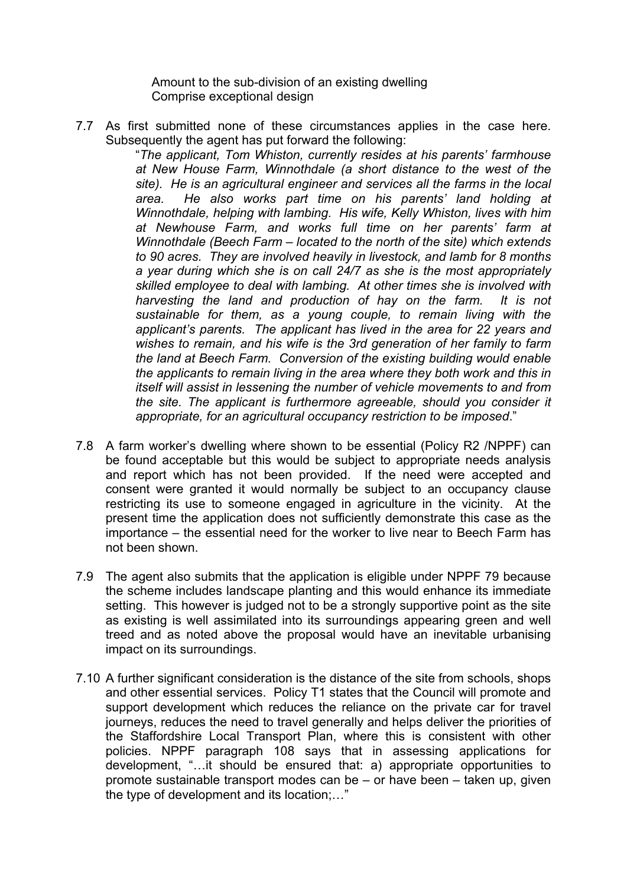Amount to the sub-division of an existing dwelling Comprise exceptional design

7.7 As first submitted none of these circumstances applies in the case here. Subsequently the agent has put forward the following:

"*The applicant, Tom Whiston, currently resides at his parents' farmhouse at New House Farm, Winnothdale (a short distance to the west of the site). He is an agricultural engineer and services all the farms in the local area. He also works part time on his parents' land holding at Winnothdale, helping with lambing. His wife, Kelly Whiston, lives with him at Newhouse Farm, and works full time on her parents' farm at Winnothdale (Beech Farm – located to the north of the site) which extends to 90 acres. They are involved heavily in livestock, and lamb for 8 months a year during which she is on call 24/7 as she is the most appropriately skilled employee to deal with lambing. At other times she is involved with harvesting the land and production of hay on the farm. It is not sustainable for them, as a young couple, to remain living with the applicant's parents. The applicant has lived in the area for 22 years and wishes to remain, and his wife is the 3rd generation of her family to farm the land at Beech Farm. Conversion of the existing building would enable the applicants to remain living in the area where they both work and this in itself will assist in lessening the number of vehicle movements to and from the site. The applicant is furthermore agreeable, should you consider it appropriate, for an agricultural occupancy restriction to be imposed*."

- 7.8 A farm worker's dwelling where shown to be essential (Policy R2 /NPPF) can be found acceptable but this would be subject to appropriate needs analysis and report which has not been provided. If the need were accepted and consent were granted it would normally be subject to an occupancy clause restricting its use to someone engaged in agriculture in the vicinity. At the present time the application does not sufficiently demonstrate this case as the importance – the essential need for the worker to live near to Beech Farm has not been shown.
- 7.9 The agent also submits that the application is eligible under NPPF 79 because the scheme includes landscape planting and this would enhance its immediate setting. This however is judged not to be a strongly supportive point as the site as existing is well assimilated into its surroundings appearing green and well treed and as noted above the proposal would have an inevitable urbanising impact on its surroundings.
- 7.10 A further significant consideration is the distance of the site from schools, shops and other essential services. Policy T1 states that the Council will promote and support development which reduces the reliance on the private car for travel journeys, reduces the need to travel generally and helps deliver the priorities of the Staffordshire Local Transport Plan, where this is consistent with other policies. NPPF paragraph 108 says that in assessing applications for development, "…it should be ensured that: a) appropriate opportunities to promote sustainable transport modes can be – or have been – taken up, given the type of development and its location;…"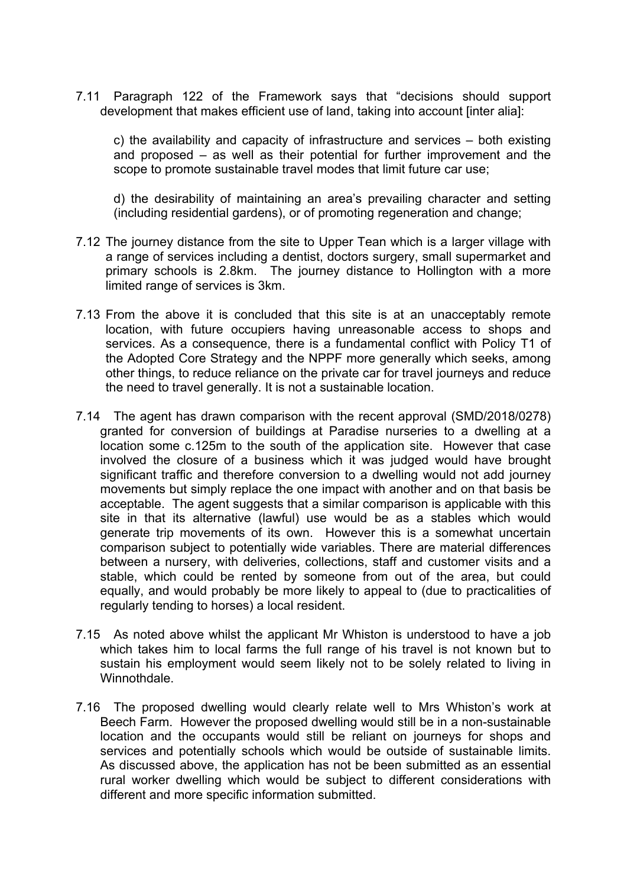7.11 Paragraph 122 of the Framework says that "decisions should support development that makes efficient use of land, taking into account linter alial:

c) the availability and capacity of infrastructure and services – both existing and proposed – as well as their potential for further improvement and the scope to promote sustainable travel modes that limit future car use;

d) the desirability of maintaining an area's prevailing character and setting (including residential gardens), or of promoting regeneration and change;

- 7.12 The journey distance from the site to Upper Tean which is a larger village with a range of services including a dentist, doctors surgery, small supermarket and primary schools is 2.8km. The journey distance to Hollington with a more limited range of services is 3km.
- 7.13 From the above it is concluded that this site is at an unacceptably remote location, with future occupiers having unreasonable access to shops and services. As a consequence, there is a fundamental conflict with Policy T1 of the Adopted Core Strategy and the NPPF more generally which seeks, among other things, to reduce reliance on the private car for travel journeys and reduce the need to travel generally. It is not a sustainable location.
- 7.14 The agent has drawn comparison with the recent approval (SMD/2018/0278) granted for conversion of buildings at Paradise nurseries to a dwelling at a location some c.125m to the south of the application site. However that case involved the closure of a business which it was judged would have brought significant traffic and therefore conversion to a dwelling would not add journey movements but simply replace the one impact with another and on that basis be acceptable. The agent suggests that a similar comparison is applicable with this site in that its alternative (lawful) use would be as a stables which would generate trip movements of its own. However this is a somewhat uncertain comparison subject to potentially wide variables. There are material differences between a nursery, with deliveries, collections, staff and customer visits and a stable, which could be rented by someone from out of the area, but could equally, and would probably be more likely to appeal to (due to practicalities of regularly tending to horses) a local resident.
- 7.15 As noted above whilst the applicant Mr Whiston is understood to have a job which takes him to local farms the full range of his travel is not known but to sustain his employment would seem likely not to be solely related to living in Winnothdale.
- 7.16 The proposed dwelling would clearly relate well to Mrs Whiston's work at Beech Farm. However the proposed dwelling would still be in a non-sustainable location and the occupants would still be reliant on journeys for shops and services and potentially schools which would be outside of sustainable limits. As discussed above, the application has not be been submitted as an essential rural worker dwelling which would be subject to different considerations with different and more specific information submitted.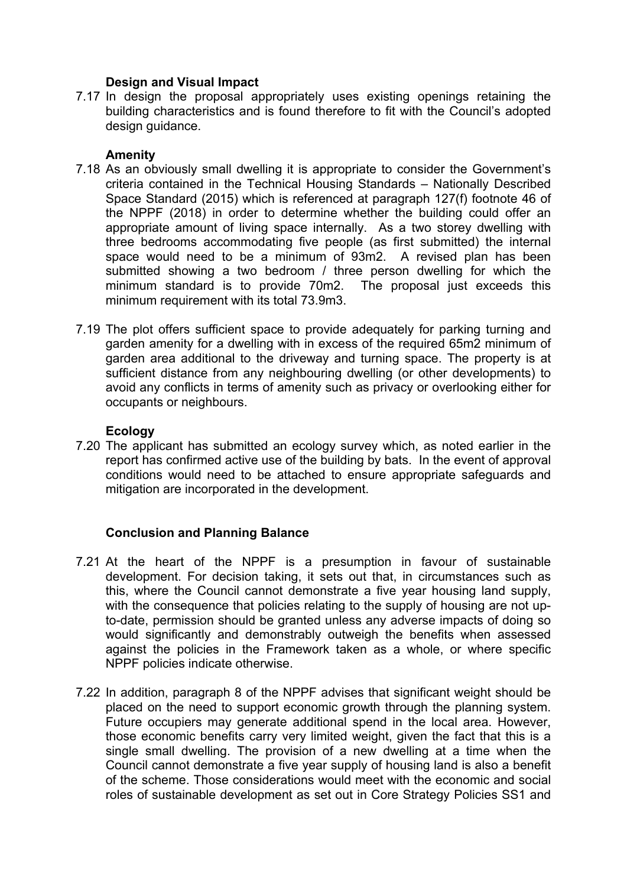## **Design and Visual Impact**

7.17 In design the proposal appropriately uses existing openings retaining the building characteristics and is found therefore to fit with the Council's adopted design guidance.

#### **Amenity**

- 7.18 As an obviously small dwelling it is appropriate to consider the Government's criteria contained in the Technical Housing Standards – Nationally Described Space Standard (2015) which is referenced at paragraph 127(f) footnote 46 of the NPPF (2018) in order to determine whether the building could offer an appropriate amount of living space internally. As a two storey dwelling with three bedrooms accommodating five people (as first submitted) the internal space would need to be a minimum of 93m2. A revised plan has been submitted showing a two bedroom / three person dwelling for which the minimum standard is to provide 70m2. The proposal just exceeds this minimum requirement with its total 73.9m3.
- 7.19 The plot offers sufficient space to provide adequately for parking turning and garden amenity for a dwelling with in excess of the required 65m2 minimum of garden area additional to the driveway and turning space. The property is at sufficient distance from any neighbouring dwelling (or other developments) to avoid any conflicts in terms of amenity such as privacy or overlooking either for occupants or neighbours.

#### **Ecology**

7.20 The applicant has submitted an ecology survey which, as noted earlier in the report has confirmed active use of the building by bats. In the event of approval conditions would need to be attached to ensure appropriate safeguards and mitigation are incorporated in the development.

## **Conclusion and Planning Balance**

- 7.21 At the heart of the NPPF is a presumption in favour of sustainable development. For decision taking, it sets out that, in circumstances such as this, where the Council cannot demonstrate a five year housing land supply, with the consequence that policies relating to the supply of housing are not upto-date, permission should be granted unless any adverse impacts of doing so would significantly and demonstrably outweigh the benefits when assessed against the policies in the Framework taken as a whole, or where specific NPPF policies indicate otherwise.
- 7.22 In addition, paragraph 8 of the NPPF advises that significant weight should be placed on the need to support economic growth through the planning system. Future occupiers may generate additional spend in the local area. However, those economic benefits carry very limited weight, given the fact that this is a single small dwelling. The provision of a new dwelling at a time when the Council cannot demonstrate a five year supply of housing land is also a benefit of the scheme. Those considerations would meet with the economic and social roles of sustainable development as set out in Core Strategy Policies SS1 and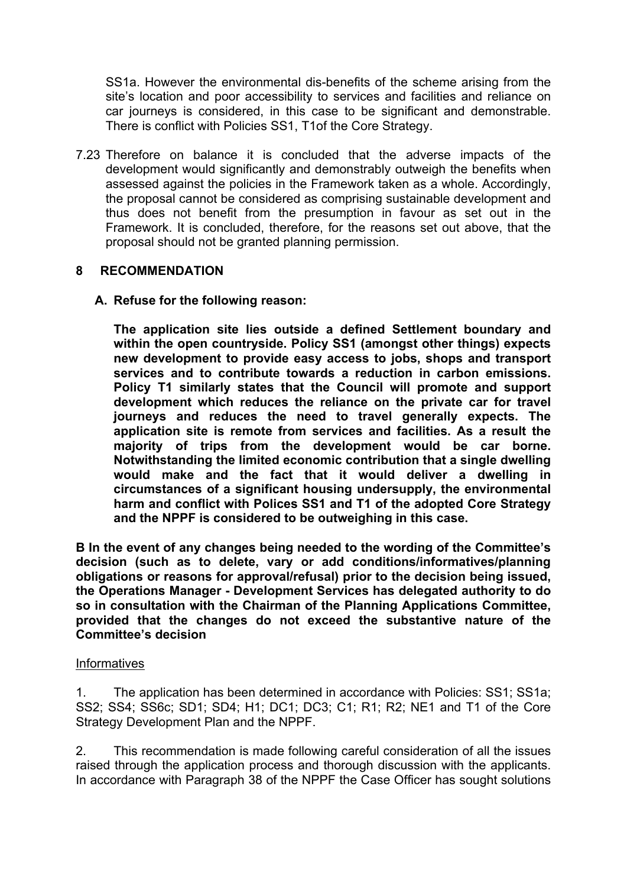SS1a. However the environmental dis-benefits of the scheme arising from the site's location and poor accessibility to services and facilities and reliance on car journeys is considered, in this case to be significant and demonstrable. There is conflict with Policies SS1, T1of the Core Strategy.

7.23 Therefore on balance it is concluded that the adverse impacts of the development would significantly and demonstrably outweigh the benefits when assessed against the policies in the Framework taken as a whole. Accordingly, the proposal cannot be considered as comprising sustainable development and thus does not benefit from the presumption in favour as set out in the Framework. It is concluded, therefore, for the reasons set out above, that the proposal should not be granted planning permission.

## **8 RECOMMENDATION**

**A. Refuse for the following reason:**

**The application site lies outside a defined Settlement boundary and within the open countryside. Policy SS1 (amongst other things) expects new development to provide easy access to jobs, shops and transport services and to contribute towards a reduction in carbon emissions. Policy T1 similarly states that the Council will promote and support development which reduces the reliance on the private car for travel journeys and reduces the need to travel generally expects. The application site is remote from services and facilities. As a result the majority of trips from the development would be car borne. Notwithstanding the limited economic contribution that a single dwelling would make and the fact that it would deliver a dwelling in circumstances of a significant housing undersupply, the environmental harm and conflict with Polices SS1 and T1 of the adopted Core Strategy and the NPPF is considered to be outweighing in this case.**

**B In the event of any changes being needed to the wording of the Committee's decision (such as to delete, vary or add conditions/informatives/planning obligations or reasons for approval/refusal) prior to the decision being issued, the Operations Manager - Development Services has delegated authority to do so in consultation with the Chairman of the Planning Applications Committee, provided that the changes do not exceed the substantive nature of the Committee's decision**

#### **Informatives**

1. The application has been determined in accordance with Policies: SS1; SS1a; SS2; SS4; SS6c; SD1; SD4; H1; DC1; DC3; C1; R1; R2; NE1 and T1 of the Core Strategy Development Plan and the NPPF.

2. This recommendation is made following careful consideration of all the issues raised through the application process and thorough discussion with the applicants. In accordance with Paragraph 38 of the NPPF the Case Officer has sought solutions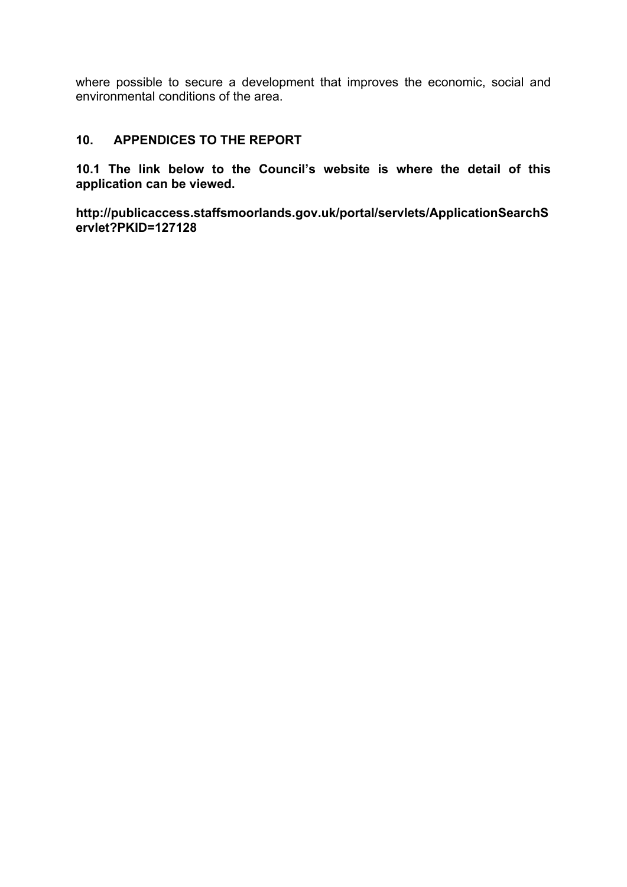where possible to secure a development that improves the economic, social and environmental conditions of the area.

## **10. APPENDICES TO THE REPORT**

**10.1 The link below to the Council's website is where the detail of this application can be viewed.**

**http://publicaccess.staffsmoorlands.gov.uk/portal/servlets/ApplicationSearchS ervlet?PKID=127128**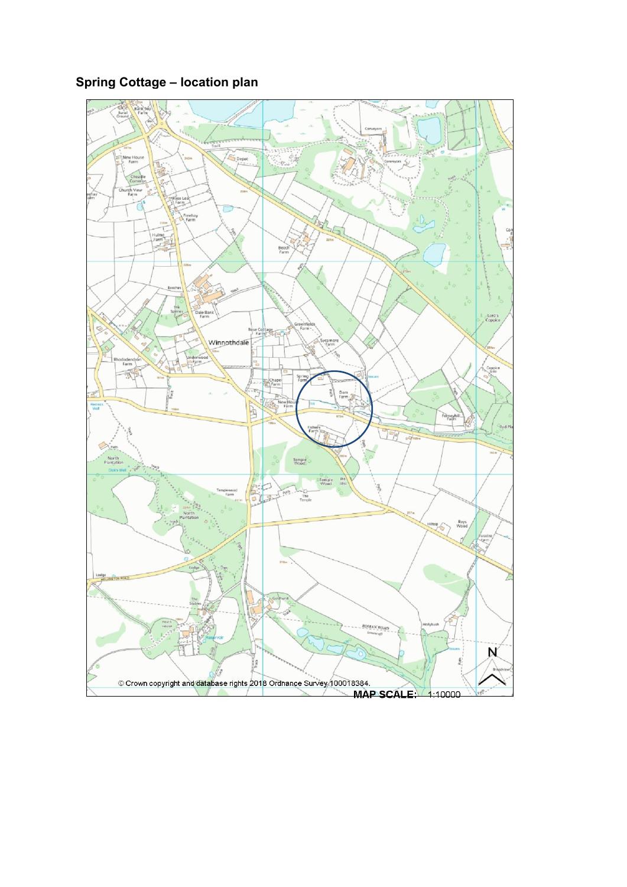# **Spring Cottage – location plan**